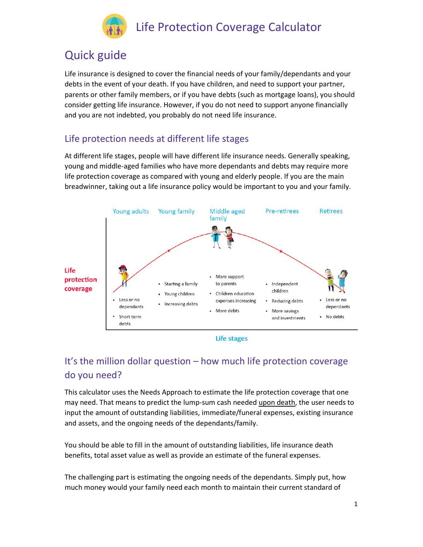

## Quick guide

Life insurance is designed to cover the financial needs of your family/dependants and your debts in the event of your death. If you have children, and need to support your partner, parents or other family members, or if you have debts (such as mortgage loans), you should consider getting life insurance. However, if you do not need to support anyone financially and you are not indebted, you probably do not need life insurance.

## Life protection needs at different life stages

At different life stages, people will have different life insurance needs. Generally speaking, young and middle-aged families who have more dependants and debts may require more life protection coverage as compared with young and elderly people. If you are the main breadwinner, taking out a life insurance policy would be important to you and your family.



**Life stages** 

## It's the million dollar question – how much life protection coverage do you need?

This calculator uses the Needs Approach to estimate the life protection coverage that one may need. That means to predict the lump-sum cash needed upon death, the user needs to input the amount of outstanding liabilities, immediate/funeral expenses, existing insurance and assets, and the ongoing needs of the dependants/family.

You should be able to fill in the amount of outstanding liabilities, life insurance death benefits, total asset value as well as provide an estimate of the funeral expenses.

The challenging part is estimating the ongoing needs of the dependants. Simply put, how much money would your family need each month to maintain their current standard of